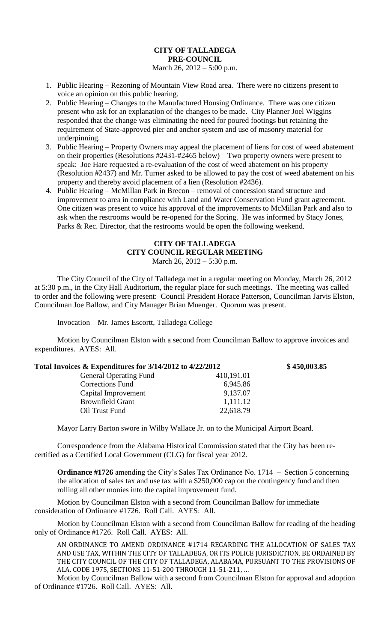## **CITY OF TALLADEGA PRE-COUNCIL** March 26, 2012 – 5:00 p.m.

- 1. Public Hearing Rezoning of Mountain View Road area. There were no citizens present to voice an opinion on this public hearing.
- 2. Public Hearing Changes to the Manufactured Housing Ordinance. There was one citizen present who ask for an explanation of the changes to be made. City Planner Joel Wiggins responded that the change was eliminating the need for poured footings but retaining the requirement of State-approved pier and anchor system and use of masonry material for underpinning.
- 3. Public Hearing Property Owners may appeal the placement of liens for cost of weed abatement on their properties (Resolutions #2431-#2465 below) – Two property owners were present to speak: Joe Hare requested a re-evaluation of the cost of weed abatement on his property (Resolution #2437) and Mr. Turner asked to be allowed to pay the cost of weed abatement on his property and thereby avoid placement of a lien (Resolution #2436).
- 4. Public Hearing McMillan Park in Brecon removal of concession stand structure and improvement to area in compliance with Land and Water Conservation Fund grant agreement. One citizen was present to voice his approval of the improvements to McMillan Park and also to ask when the restrooms would be re-opened for the Spring. He was informed by Stacy Jones, Parks & Rec. Director, that the restrooms would be open the following weekend.

## **CITY OF TALLADEGA CITY COUNCIL REGULAR MEETING**

March 26, 2012 – 5:30 p.m.

The City Council of the City of Talladega met in a regular meeting on Monday, March 26, 2012 at 5:30 p.m., in the City Hall Auditorium, the regular place for such meetings. The meeting was called to order and the following were present: Council President Horace Patterson, Councilman Jarvis Elston, Councilman Joe Ballow, and City Manager Brian Muenger. Quorum was present.

Invocation – Mr. James Escortt, Talladega College

Motion by Councilman Elston with a second from Councilman Ballow to approve invoices and expenditures. AYES: All.

| Total Invoices & Expenditures for 3/14/2012 to 4/22/2012 |            | \$450,003.85 |
|----------------------------------------------------------|------------|--------------|
| <b>General Operating Fund</b>                            | 410,191.01 |              |
| <b>Corrections Fund</b>                                  | 6,945.86   |              |
| Capital Improvement                                      | 9,137.07   |              |
| <b>Brownfield Grant</b>                                  | 1,111.12   |              |
| Oil Trust Fund                                           | 22,618.79  |              |

Mayor Larry Barton swore in Wilby Wallace Jr. on to the Municipal Airport Board.

Correspondence from the Alabama Historical Commission stated that the City has been recertified as a Certified Local Government (CLG) for fiscal year 2012.

**Ordinance #1726** amending the City's Sales Tax Ordinance No. 1714 – Section 5 concerning the allocation of sales tax and use tax with a \$250,000 cap on the contingency fund and then rolling all other monies into the capital improvement fund.

Motion by Councilman Elston with a second from Councilman Ballow for immediate consideration of Ordinance #1726. Roll Call. AYES: All.

Motion by Councilman Elston with a second from Councilman Ballow for reading of the heading only of Ordinance #1726. Roll Call. AYES: All.

AN ORDINANCE TO AMEND ORDINANCE #1714 REGARDING THE ALLOCATION OF SALES TAX AND USE TAX, WITHIN THE CITY OF TALLADEGA, OR ITS POLICE JURISDICTION. BE ORDAINED BY THE CITY COUNCIL OF THE CITY OF TALLADEGA, ALABAMA, PURSUANT TO THE PROVISIONS OF ALA. CODE 1975, SECTIONS 11-51-200 THROUGH 11-51-211, …

Motion by Councilman Ballow with a second from Councilman Elston for approval and adoption of Ordinance #1726. Roll Call. AYES: All.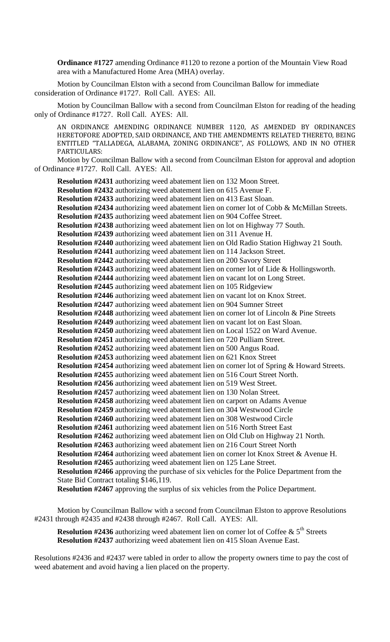**Ordinance #1727** amending Ordinance #1120 to rezone a portion of the Mountain View Road area with a Manufactured Home Area (MHA) overlay.

Motion by Councilman Elston with a second from Councilman Ballow for immediate consideration of Ordinance #1727. Roll Call. AYES: All.

Motion by Councilman Ballow with a second from Councilman Elston for reading of the heading only of Ordinance #1727. Roll Call. AYES: All.

AN ORDINANCE AMENDING ORDINANCE NUMBER 1120, AS AMENDED BY ORDINANCES HERETOFORE ADOPTED, SAID ORDINANCE, AND THE AMENDMENTS RELATED THERETO, BEING ENTITLED "TALLADEGA, ALABAMA, ZONING ORDINANCE", AS FOLLOWS, AND IN NO OTHER PARTICULARS:

Motion by Councilman Ballow with a second from Councilman Elston for approval and adoption of Ordinance #1727. Roll Call. AYES: All.

**Resolution #2431** authorizing weed abatement lien on 132 Moon Street. **Resolution #2432** authorizing weed abatement lien on 615 Avenue F. **Resolution #2433** authorizing weed abatement lien on 413 East Sloan. **Resolution #2434** authorizing weed abatement lien on corner lot of Cobb & McMillan Streets. **Resolution #2435** authorizing weed abatement lien on 904 Coffee Street. **Resolution #2438** authorizing weed abatement lien on lot on Highway 77 South. **Resolution #2439** authorizing weed abatement lien on 311 Avenue H. **Resolution #2440** authorizing weed abatement lien on Old Radio Station Highway 21 South. **Resolution #2441** authorizing weed abatement lien on 114 Jackson Street. **Resolution #2442** authorizing weed abatement lien on 200 Savory Street **Resolution #2443** authorizing weed abatement lien on corner lot of Lide & Hollingsworth. **Resolution #2444** authorizing weed abatement lien on vacant lot on Long Street. **Resolution #2445** authorizing weed abatement lien on 105 Ridgeview **Resolution #2446** authorizing weed abatement lien on vacant lot on Knox Street. **Resolution #2447** authorizing weed abatement lien on 904 Sumner Street **Resolution #2448** authorizing weed abatement lien on corner lot of Lincoln & Pine Streets **Resolution #2449** authorizing weed abatement lien on vacant lot on East Sloan. **Resolution #2450** authorizing weed abatement lien on Local 1522 on Ward Avenue. **Resolution #2451** authorizing weed abatement lien on 720 Pulliam Street. **Resolution #2452** authorizing weed abatement lien on 500 Angus Road. **Resolution #2453** authorizing weed abatement lien on 621 Knox Street **Resolution #2454** authorizing weed abatement lien on corner lot of Spring & Howard Streets. **Resolution #2455** authorizing weed abatement lien on 516 Court Street North. **Resolution #2456** authorizing weed abatement lien on 519 West Street. **Resolution #2457** authorizing weed abatement lien on 130 Nolan Street. **Resolution #2458** authorizing weed abatement lien on carport on Adams Avenue **Resolution #2459** authorizing weed abatement lien on 304 Westwood Circle **Resolution #2460** authorizing weed abatement lien on 308 Westwood Circle **Resolution #2461** authorizing weed abatement lien on 516 North Street East **Resolution #2462** authorizing weed abatement lien on Old Club on Highway 21 North. **Resolution #2463** authorizing weed abatement lien on 216 Court Street North **Resolution #2464** authorizing weed abatement lien on corner lot Knox Street & Avenue H. **Resolution #2465** authorizing weed abatement lien on 125 Lane Street. **Resolution #2466** approving the purchase of six vehicles for the Police Department from the State Bid Contract totaling \$146,119. **Resolution #2467** approving the surplus of six vehicles from the Police Department.

Motion by Councilman Ballow with a second from Councilman Elston to approve Resolutions #2431 through #2435 and #2438 through #2467. Roll Call. AYES: All.

**Resolution #2436** authorizing weed abatement lien on corner lot of Coffee  $\&$  5<sup>th</sup> Streets **Resolution #2437** authorizing weed abatement lien on 415 Sloan Avenue East.

Resolutions #2436 and #2437 were tabled in order to allow the property owners time to pay the cost of weed abatement and avoid having a lien placed on the property.